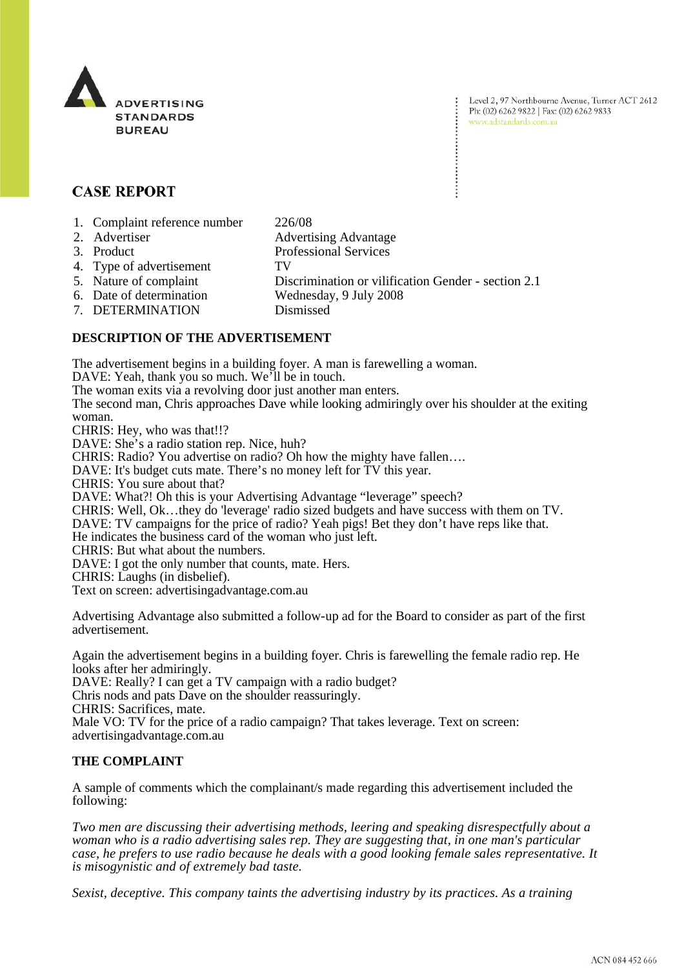

Level 2, 97 Northbourne Avenue, Turner ACT 2612 Ph: (02) 6262 9822 | Fax: (02) 6262 9833 www.adstandards.com.au

# **CASE REPORT**

- 1. Complaint reference number 226/08
- 2. Advertiser Advertising Advantage
- 3. Product Professional Services
- 4. Type of advertisement TV
	-
- 5. Nature of complaint Discrimination or vilification Gender section 2.1<br>6. Date of determination Wednesday, 9 July 2008 Wednesday, 9 July 2008
- 
- 7. DETERMINATION Dismissed

## **DESCRIPTION OF THE ADVERTISEMENT**

The advertisement begins in a building foyer. A man is farewelling a woman.

DAVE: Yeah, thank you so much. We'll be in touch.

The woman exits via a revolving door just another man enters.

The second man, Chris approaches Dave while looking admiringly over his shoulder at the exiting woman.

CHRIS: Hey, who was that!!?

DAVE: She's a radio station rep. Nice, huh?

CHRIS: Radio? You advertise on radio? Oh how the mighty have fallen….

DAVE: It's budget cuts mate. There's no money left for TV this year.

CHRIS: You sure about that?

DAVE: What?! Oh this is your Advertising Advantage "leverage" speech?

CHRIS: Well, Ok…they do 'leverage' radio sized budgets and have success with them on TV.

DAVE: TV campaigns for the price of radio? Yeah pigs! Bet they don't have reps like that.

He indicates the business card of the woman who just left.

CHRIS: But what about the numbers.

DAVE: I got the only number that counts, mate. Hers.

CHRIS: Laughs (in disbelief).

Text on screen: advertisingadvantage.com.au

Advertising Advantage also submitted a follow-up ad for the Board to consider as part of the first advertisement.

Again the advertisement begins in a building foyer. Chris is farewelling the female radio rep. He looks after her admiringly.

DAVE: Really? I can get a TV campaign with a radio budget?

Chris nods and pats Dave on the shoulder reassuringly.

CHRIS: Sacrifices, mate.

Male VO: TV for the price of a radio campaign? That takes leverage. Text on screen: advertisingadvantage.com.au

## **THE COMPLAINT**

A sample of comments which the complainant/s made regarding this advertisement included the following:

*Two men are discussing their advertising methods, leering and speaking disrespectfully about a woman who is a radio advertising sales rep. They are suggesting that, in one man's particular case, he prefers to use radio because he deals with a good looking female sales representative. It is misogynistic and of extremely bad taste.* 

*Sexist, deceptive. This company taints the advertising industry by its practices. As a training*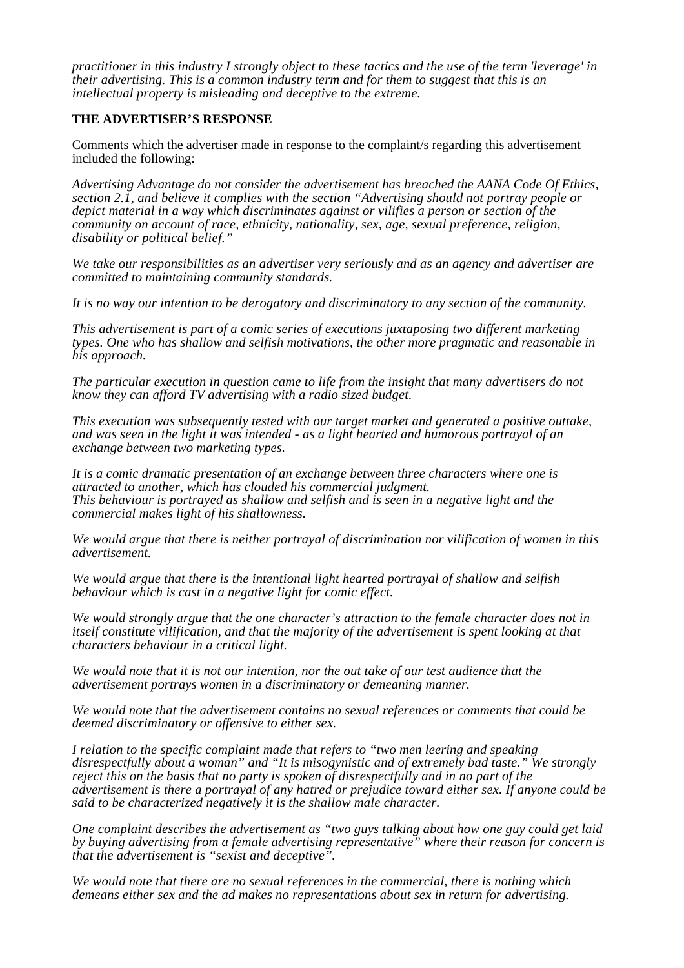*practitioner in this industry I strongly object to these tactics and the use of the term 'leverage' in their advertising. This is a common industry term and for them to suggest that this is an intellectual property is misleading and deceptive to the extreme.*

#### **THE ADVERTISER'S RESPONSE**

Comments which the advertiser made in response to the complaint/s regarding this advertisement included the following:

*Advertising Advantage do not consider the advertisement has breached the AANA Code Of Ethics, section 2.1, and believe it complies with the section "Advertising should not portray people or depict material in a way which discriminates against or vilifies a person or section of the community on account of race, ethnicity, nationality, sex, age, sexual preference, religion, disability or political belief."*

*We take our responsibilities as an advertiser very seriously and as an agency and advertiser are committed to maintaining community standards.*

*It is no way our intention to be derogatory and discriminatory to any section of the community.*

*This advertisement is part of a comic series of executions juxtaposing two different marketing types. One who has shallow and selfish motivations, the other more pragmatic and reasonable in his approach.*

*The particular execution in question came to life from the insight that many advertisers do not know they can afford TV advertising with a radio sized budget.*

*This execution was subsequently tested with our target market and generated a positive outtake, and was seen in the light it was intended - as a light hearted and humorous portrayal of an exchange between two marketing types.*

*It is a comic dramatic presentation of an exchange between three characters where one is attracted to another, which has clouded his commercial judgment. This behaviour is portrayed as shallow and selfish and is seen in a negative light and the commercial makes light of his shallowness.*

*We would argue that there is neither portrayal of discrimination nor vilification of women in this advertisement.*

*We would argue that there is the intentional light hearted portrayal of shallow and selfish behaviour which is cast in a negative light for comic effect.*

*We would strongly argue that the one character's attraction to the female character does not in itself constitute vilification, and that the majority of the advertisement is spent looking at that characters behaviour in a critical light.*

*We would note that it is not our intention, nor the out take of our test audience that the advertisement portrays women in a discriminatory or demeaning manner.*

*We would note that the advertisement contains no sexual references or comments that could be deemed discriminatory or offensive to either sex.* 

*I relation to the specific complaint made that refers to "two men leering and speaking disrespectfully about a woman" and "It is misogynistic and of extremely bad taste." We strongly reject this on the basis that no party is spoken of disrespectfully and in no part of the advertisement is there a portrayal of any hatred or prejudice toward either sex. If anyone could be said to be characterized negatively it is the shallow male character.*

*One complaint describes the advertisement as "two guys talking about how one guy could get laid by buying advertising from a female advertising representative" where their reason for concern is that the advertisement is "sexist and deceptive".*

*We would note that there are no sexual references in the commercial, there is nothing which demeans either sex and the ad makes no representations about sex in return for advertising.*